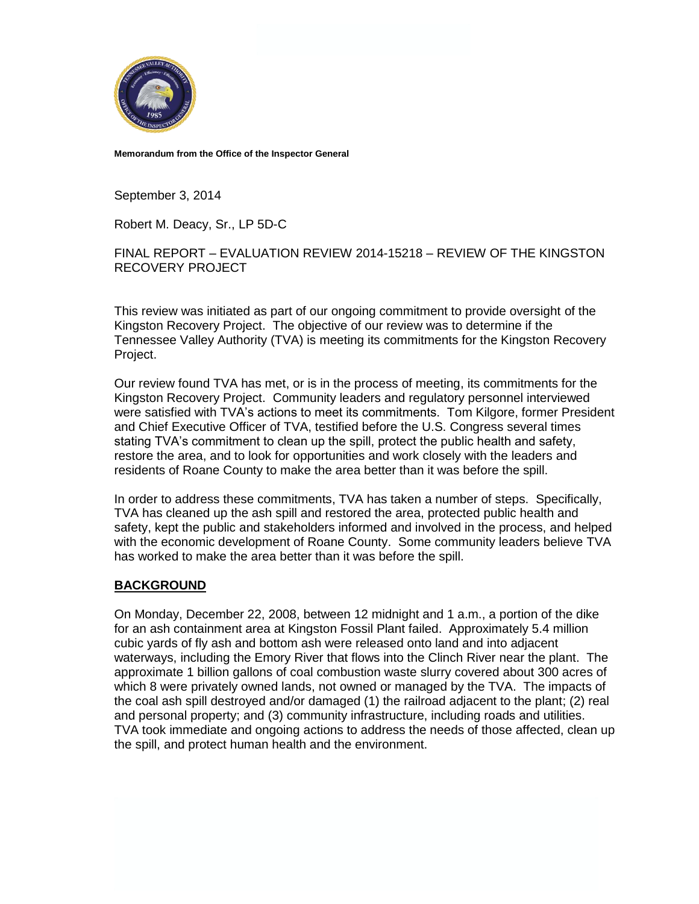

**Memorandum from the Office of the Inspector General**

September 3, 2014

Robert M. Deacy, Sr., LP 5D-C

FINAL REPORT – EVALUATION REVIEW 2014-15218 – REVIEW OF THE KINGSTON RECOVERY PROJECT

This review was initiated as part of our ongoing commitment to provide oversight of the Kingston Recovery Project. The objective of our review was to determine if the Tennessee Valley Authority (TVA) is meeting its commitments for the Kingston Recovery Project.

Our review found TVA has met, or is in the process of meeting, its commitments for the Kingston Recovery Project. Community leaders and regulatory personnel interviewed were satisfied with TVA's actions to meet its commitments. Tom Kilgore, former President and Chief Executive Officer of TVA, testified before the U.S. Congress several times stating TVA's commitment to clean up the spill, protect the public health and safety, restore the area, and to look for opportunities and work closely with the leaders and residents of Roane County to make the area better than it was before the spill.

In order to address these commitments, TVA has taken a number of steps. Specifically, TVA has cleaned up the ash spill and restored the area, protected public health and safety, kept the public and stakeholders informed and involved in the process, and helped with the economic development of Roane County. Some community leaders believe TVA has worked to make the area better than it was before the spill.

### **BACKGROUND**

On Monday, December 22, 2008, between 12 midnight and 1 a.m., a portion of the dike for an ash containment area at Kingston Fossil Plant failed. Approximately 5.4 million cubic yards of fly ash and bottom ash were released onto land and into adjacent waterways, including the Emory River that flows into the Clinch River near the plant. The approximate 1 billion gallons of coal combustion waste slurry covered about 300 acres of which 8 were privately owned lands, not owned or managed by the TVA. The impacts of the coal ash spill destroyed and/or damaged (1) the railroad adjacent to the plant; (2) real and personal property; and (3) community infrastructure, including roads and utilities. TVA took immediate and ongoing actions to address the needs of those affected, clean up the spill, and protect human health and the environment.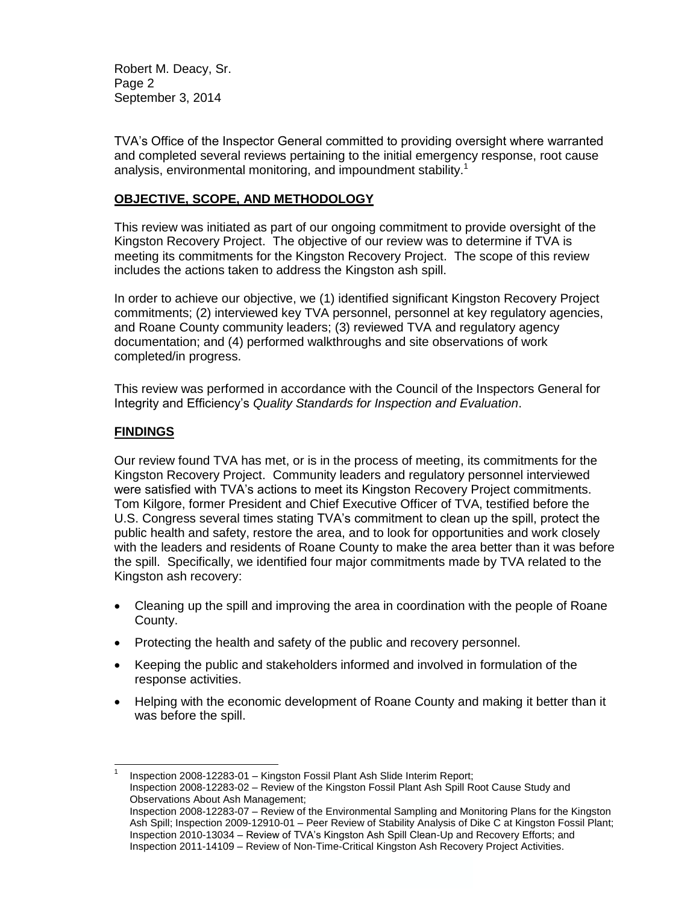Robert M. Deacy, Sr. Page 2 September 3, 2014

TVA's Office of the Inspector General committed to providing oversight where warranted and completed several reviews pertaining to the initial emergency response, root cause analysis, environmental monitoring, and impoundment stability.<sup>1</sup>

# **OBJECTIVE, SCOPE, AND METHODOLOGY**

This review was initiated as part of our ongoing commitment to provide oversight of the Kingston Recovery Project. The objective of our review was to determine if TVA is meeting its commitments for the Kingston Recovery Project. The scope of this review includes the actions taken to address the Kingston ash spill.

In order to achieve our objective, we (1) identified significant Kingston Recovery Project commitments; (2) interviewed key TVA personnel, personnel at key regulatory agencies, and Roane County community leaders; (3) reviewed TVA and regulatory agency documentation; and (4) performed walkthroughs and site observations of work completed/in progress.

This review was performed in accordance with the Council of the Inspectors General for Integrity and Efficiency's *Quality Standards for Inspection and Evaluation*.

# **FINDINGS**

l 1

Our review found TVA has met, or is in the process of meeting, its commitments for the Kingston Recovery Project. Community leaders and regulatory personnel interviewed were satisfied with TVA's actions to meet its Kingston Recovery Project commitments. Tom Kilgore, former President and Chief Executive Officer of TVA, testified before the U.S. Congress several times stating TVA's commitment to clean up the spill, protect the public health and safety, restore the area, and to look for opportunities and work closely with the leaders and residents of Roane County to make the area better than it was before the spill. Specifically, we identified four major commitments made by TVA related to the Kingston ash recovery:

- Cleaning up the spill and improving the area in coordination with the people of Roane County.
- Protecting the health and safety of the public and recovery personnel.
- Keeping the public and stakeholders informed and involved in formulation of the response activities.
- Helping with the economic development of Roane County and making it better than it was before the spill.

Inspection 2008-12283-01 – Kingston Fossil Plant Ash Slide Interim Report; Inspection 2008-12283-02 – Review of the Kingston Fossil Plant Ash Spill Root Cause Study and

Observations About Ash Management;

Inspection 2008-12283-07 – Review of the Environmental Sampling and Monitoring Plans for the Kingston Ash Spill; Inspection 2009-12910-01 – Peer Review of Stability Analysis of Dike C at Kingston Fossil Plant; Inspection 2010-13034 – Review of TVA's Kingston Ash Spill Clean-Up and Recovery Efforts; and Inspection 2011-14109 – Review of Non-Time-Critical Kingston Ash Recovery Project Activities.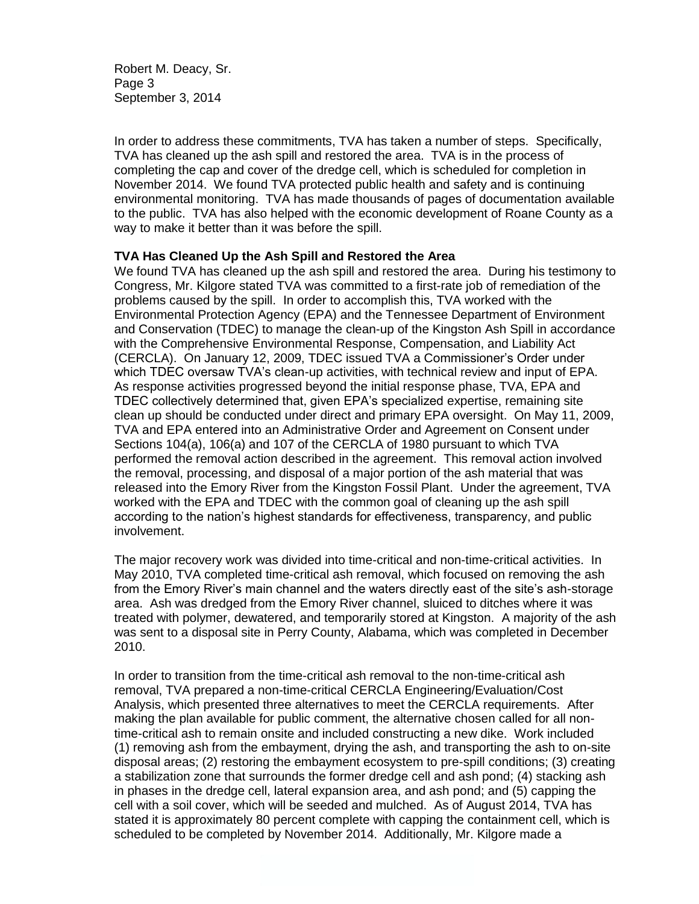Robert M. Deacy, Sr. Page 3 September 3, 2014

In order to address these commitments, TVA has taken a number of steps. Specifically, TVA has cleaned up the ash spill and restored the area. TVA is in the process of completing the cap and cover of the dredge cell, which is scheduled for completion in November 2014. We found TVA protected public health and safety and is continuing environmental monitoring. TVA has made thousands of pages of documentation available to the public. TVA has also helped with the economic development of Roane County as a way to make it better than it was before the spill.

#### **TVA Has Cleaned Up the Ash Spill and Restored the Area**

We found TVA has cleaned up the ash spill and restored the area. During his testimony to Congress, Mr. Kilgore stated TVA was committed to a first-rate job of remediation of the problems caused by the spill. In order to accomplish this, TVA worked with the Environmental Protection Agency (EPA) and the Tennessee Department of Environment and Conservation (TDEC) to manage the clean-up of the Kingston Ash Spill in accordance with the Comprehensive Environmental Response, Compensation, and Liability Act (CERCLA). On January 12, 2009, TDEC issued TVA a Commissioner's Order under which TDEC oversaw TVA's clean-up activities, with technical review and input of EPA. As response activities progressed beyond the initial response phase, TVA, EPA and TDEC collectively determined that, given EPA's specialized expertise, remaining site clean up should be conducted under direct and primary EPA oversight. On May 11, 2009, TVA and EPA entered into an Administrative Order and Agreement on Consent under Sections 104(a), 106(a) and 107 of the CERCLA of 1980 pursuant to which TVA performed the removal action described in the agreement. This removal action involved the removal, processing, and disposal of a major portion of the ash material that was released into the Emory River from the Kingston Fossil Plant. Under the agreement, TVA worked with the EPA and TDEC with the common goal of cleaning up the ash spill according to the nation's highest standards for effectiveness, transparency, and public involvement.

The major recovery work was divided into time-critical and non-time-critical activities. In May 2010, TVA completed time-critical ash removal, which focused on removing the ash from the Emory River's main channel and the waters directly east of the site's ash-storage area. Ash was dredged from the Emory River channel, sluiced to ditches where it was treated with polymer, dewatered, and temporarily stored at Kingston. A majority of the ash was sent to a disposal site in Perry County, Alabama, which was completed in December 2010.

In order to transition from the time-critical ash removal to the non-time-critical ash removal, TVA prepared a non-time-critical CERCLA Engineering/Evaluation/Cost Analysis, which presented three alternatives to meet the CERCLA requirements. After making the plan available for public comment, the alternative chosen called for all nontime-critical ash to remain onsite and included constructing a new dike. Work included (1) removing ash from the embayment, drying the ash, and transporting the ash to on-site disposal areas; (2) restoring the embayment ecosystem to pre-spill conditions; (3) creating a stabilization zone that surrounds the former dredge cell and ash pond; (4) stacking ash in phases in the dredge cell, lateral expansion area, and ash pond; and (5) capping the cell with a soil cover, which will be seeded and mulched. As of August 2014, TVA has stated it is approximately 80 percent complete with capping the containment cell, which is scheduled to be completed by November 2014. Additionally, Mr. Kilgore made a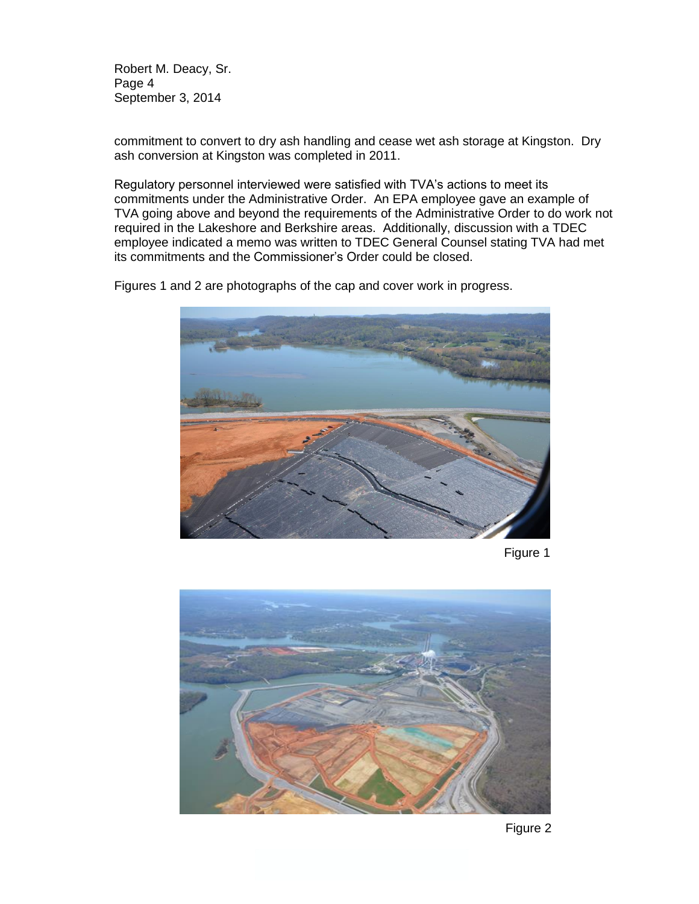Robert M. Deacy, Sr. Page 4 September 3, 2014

commitment to convert to dry ash handling and cease wet ash storage at Kingston. Dry ash conversion at Kingston was completed in 2011.

Regulatory personnel interviewed were satisfied with TVA's actions to meet its commitments under the Administrative Order. An EPA employee gave an example of TVA going above and beyond the requirements of the Administrative Order to do work not required in the Lakeshore and Berkshire areas. Additionally, discussion with a TDEC employee indicated a memo was written to TDEC General Counsel stating TVA had met its commitments and the Commissioner's Order could be closed.

Figures 1 and 2 are photographs of the cap and cover work in progress.



Figure 1



Figure 2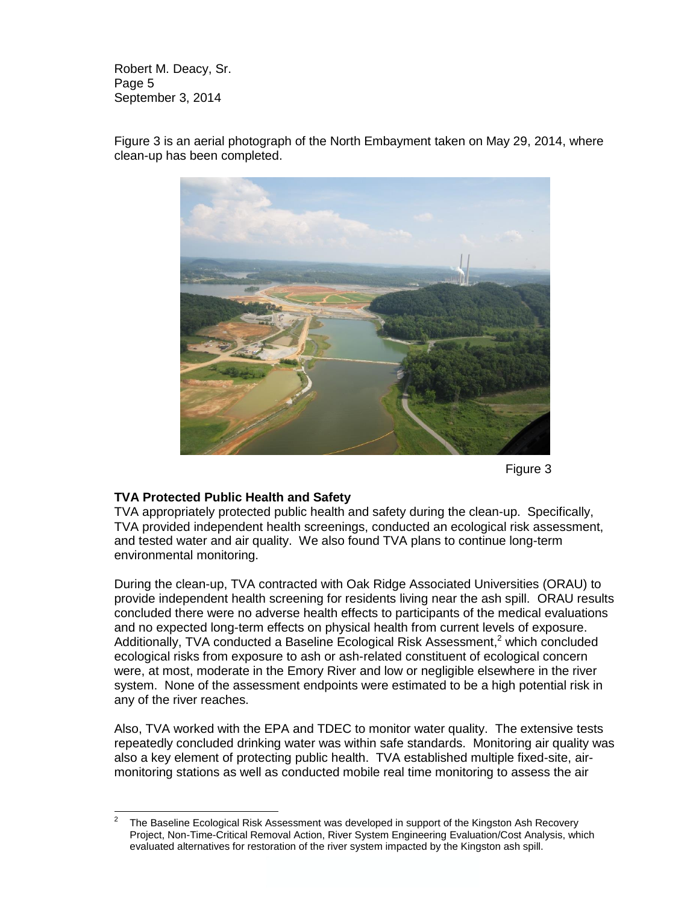Robert M. Deacy, Sr. Page 5 September 3, 2014

Figure 3

## **TVA Protected Public Health and Safety**

TVA appropriately protected public health and safety during the clean-up. Specifically, TVA provided independent health screenings, conducted an ecological risk assessment, and tested water and air quality. We also found TVA plans to continue long-term environmental monitoring.

During the clean-up, TVA contracted with Oak Ridge Associated Universities (ORAU) to provide independent health screening for residents living near the ash spill. ORAU results concluded there were no adverse health effects to participants of the medical evaluations and no expected long-term effects on physical health from current levels of exposure. Additionally, TVA conducted a Baseline Ecological Risk Assessment, <sup>2</sup> which concluded ecological risks from exposure to ash or ash-related constituent of ecological concern were, at most, moderate in the Emory River and low or negligible elsewhere in the river system. None of the assessment endpoints were estimated to be a high potential risk in any of the river reaches.

Also, TVA worked with the EPA and TDEC to monitor water quality. The extensive tests repeatedly concluded drinking water was within safe standards. Monitoring air quality was also a key element of protecting public health. TVA established multiple fixed-site, airmonitoring stations as well as conducted mobile real time monitoring to assess the air

Figure 3 is an aerial photograph of the North Embayment taken on May 29, 2014, where clean-up has been completed.

<sup>&</sup>lt;sup>2</sup> The Baseline Ecological Risk Assessment was developed in support of the Kingston Ash Recovery Project, Non-Time-Critical Removal Action, River System Engineering Evaluation/Cost Analysis, which evaluated alternatives for restoration of the river system impacted by the Kingston ash spill.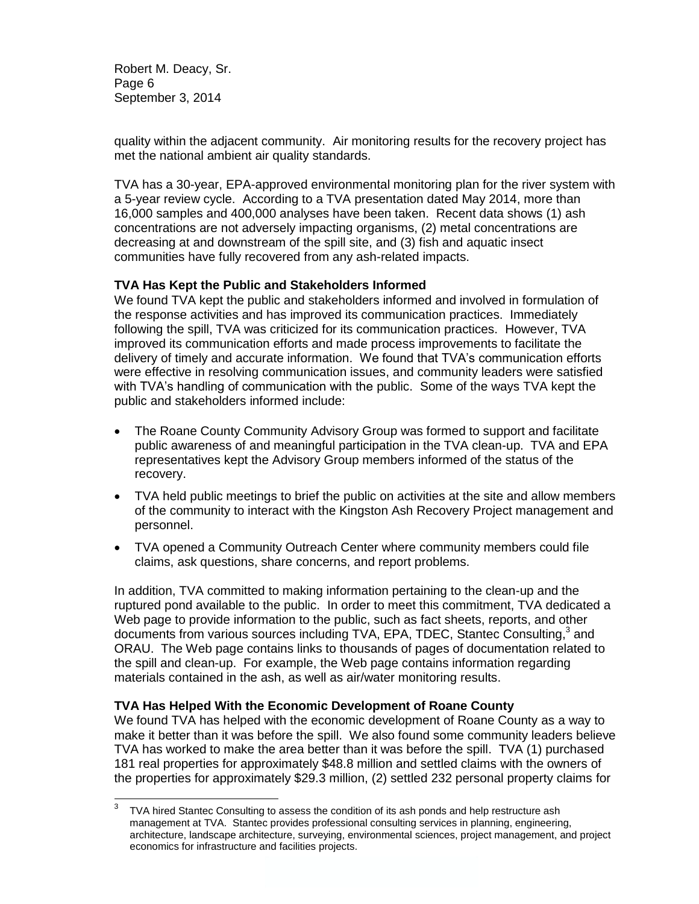Robert M. Deacy, Sr. Page 6 September 3, 2014

quality within the adjacent community. Air monitoring results for the recovery project has met the national ambient air quality standards.

TVA has a 30-year, EPA-approved environmental monitoring plan for the river system with a 5-year review cycle. According to a TVA presentation dated May 2014, more than 16,000 samples and 400,000 analyses have been taken. Recent data shows (1) ash concentrations are not adversely impacting organisms, (2) metal concentrations are decreasing at and downstream of the spill site, and (3) fish and aquatic insect communities have fully recovered from any ash-related impacts.

### **TVA Has Kept the Public and Stakeholders Informed**

We found TVA kept the public and stakeholders informed and involved in formulation of the response activities and has improved its communication practices.Immediately following the spill, TVA was criticized for its communication practices. However, TVA improved its communication efforts and made process improvements to facilitate the delivery of timely and accurate information.We found that TVA's communication efforts were effective in resolving communication issues, and community leaders were satisfied with TVA's handling of communication with the public. Some of the ways TVA kept the public and stakeholders informed include:

- The Roane County Community Advisory Group was formed to support and facilitate public awareness of and meaningful participation in the TVA clean-up. TVA and EPA representatives kept the Advisory Group members informed of the status of the recovery.
- TVA held public meetings to brief the public on activities at the site and allow members of the community to interact with the Kingston Ash Recovery Project management and personnel.
- TVA opened a Community Outreach Center where community members could file claims, ask questions, share concerns, and report problems.

In addition, TVA committed to making information pertaining to the clean-up and the ruptured pond available to the public. In order to meet this commitment, TVA dedicated a Web page to provide information to the public, such as fact sheets, reports, and other documents from various sources including TVA, EPA, TDEC, Stantec Consulting,<sup>3</sup> and ORAU. The Web page contains links to thousands of pages of documentation related to the spill and clean-up. For example, the Web page contains information regarding materials contained in the ash, as well as air/water monitoring results.

## **TVA Has Helped With the Economic Development of Roane County**

We found TVA has helped with the economic development of Roane County as a way to make it better than it was before the spill. We also found some community leaders believe TVA has worked to make the area better than it was before the spill. TVA (1) purchased 181 real properties for approximately \$48.8 million and settled claims with the owners of the properties for approximately \$29.3 million, (2) settled 232 personal property claims for

<sup>&</sup>lt;sup>3</sup> TVA hired Stantec Consulting to assess the condition of its ash ponds and help restructure ash management at TVA. Stantec provides professional consulting services in planning, engineering, architecture, landscape architecture, surveying, environmental sciences, project management, and project economics for infrastructure and facilities projects.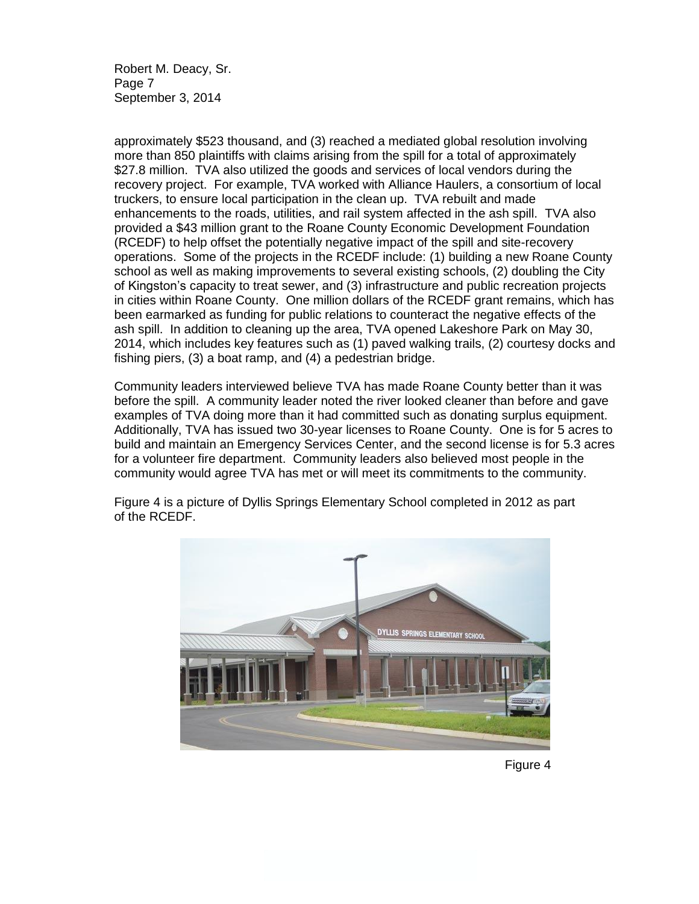Robert M. Deacy, Sr. Page 7 September 3, 2014

approximately \$523 thousand, and (3) reached a mediated global resolution involving more than 850 plaintiffs with claims arising from the spill for a total of approximately \$27.8 million. TVA also utilized the goods and services of local vendors during the recovery project. For example, TVA worked with Alliance Haulers, a consortium of local truckers, to ensure local participation in the clean up. TVA rebuilt and made enhancements to the roads, utilities, and rail system affected in the ash spill. TVA also provided a \$43 million grant to the Roane County Economic Development Foundation (RCEDF) to help offset the potentially negative impact of the spill and site-recovery operations. Some of the projects in the RCEDF include: (1) building a new Roane County school as well as making improvements to several existing schools, (2) doubling the City of Kingston's capacity to treat sewer, and (3) infrastructure and public recreation projects in cities within Roane County. One million dollars of the RCEDF grant remains, which has been earmarked as funding for public relations to counteract the negative effects of the ash spill.In addition to cleaning up the area, TVA opened Lakeshore Park on May 30, 2014, which includes key features such as (1) paved walking trails, (2) courtesy docks and fishing piers, (3) a boat ramp, and (4) a pedestrian bridge.

Community leaders interviewed believe TVA has made Roane County better than it was before the spill. A community leader noted the river looked cleaner than before and gave examples of TVA doing more than it had committed such as donating surplus equipment. Additionally, TVA has issued two 30-year licenses to Roane County. One is for 5 acres to build and maintain an Emergency Services Center, and the second license is for 5.3 acres for a volunteer fire department. Community leaders also believed most people in the community would agree TVA has met or will meet its commitments to the community.



Figure 4 is a picture of Dyllis Springs Elementary School completed in 2012 as part of the RCEDF.

Figure 4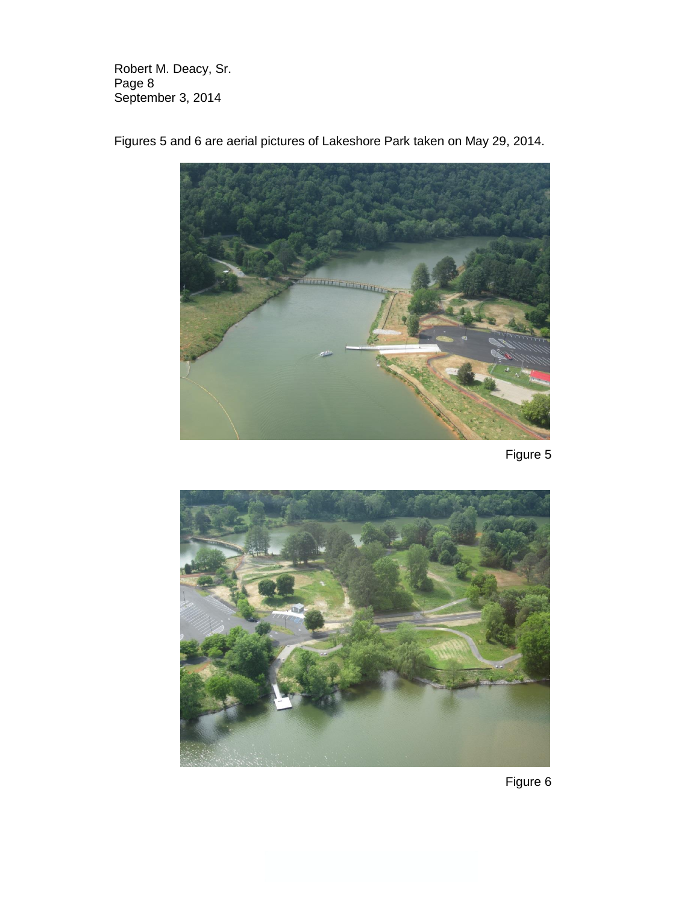Robert M. Deacy, Sr. Page 8 September 3, 2014



Figures 5 and 6 are aerial pictures of Lakeshore Park taken on May 29, 2014.

Figure 5



Figure 6